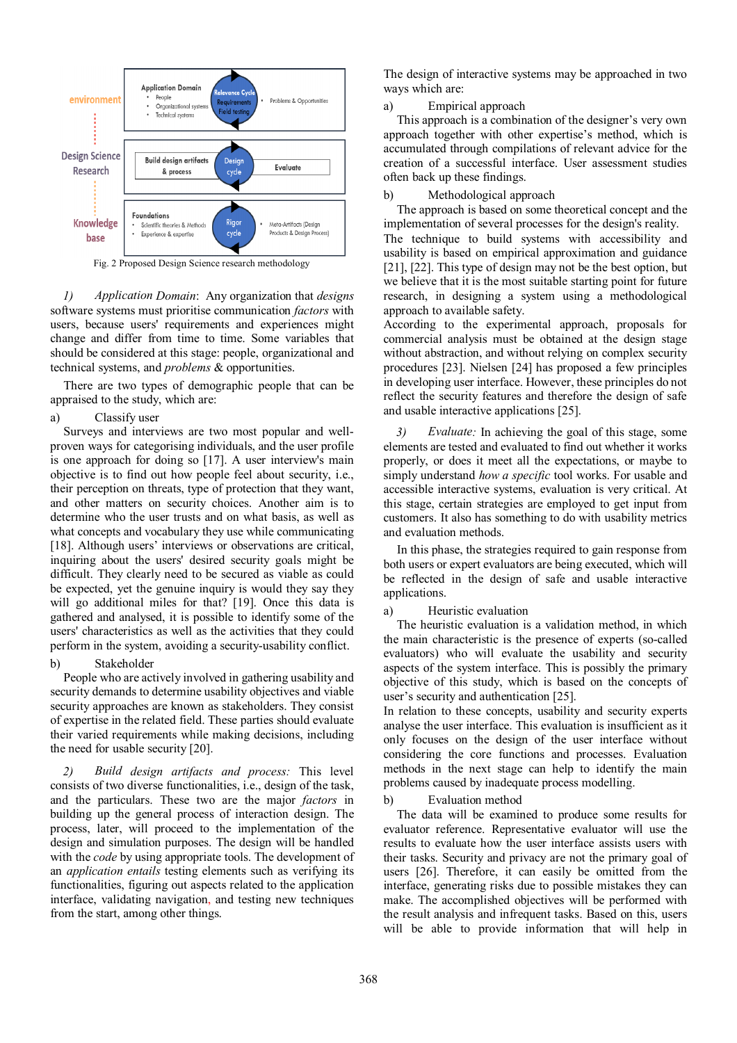

Fig. 2 Proposed Design Science research methodology

*1) Application Domain*: Any organization that *designs* software systems must prioritise communication *factors* with users, because users' requirements and experiences might change and differ from time to time. Some variables that should be considered at this stage: people, organizational and technical systems, and *problems* & opportunities.

There are two types of demographic people that can be appraised to the study, which are:

### a) Classify user

Surveys and interviews are two most popular and wellproven ways for categorising individuals, and the user profile is one approach for doing so [17]. A user interview's main objective is to find out how people feel about security, i.e., their perception on threats, type of protection that they want, and other matters on security choices. Another aim is to determine who the user trusts and on what basis, as well as what concepts and vocabulary they use while communicating [18]. Although users' interviews or observations are critical, inquiring about the users' desired security goals might be difficult. They clearly need to be secured as viable as could be expected, yet the genuine inquiry is would they say they will go additional miles for that? [19]. Once this data is gathered and analysed, it is possible to identify some of the users' characteristics as well as the activities that they could perform in the system, avoiding a security-usability conflict.

# b) Stakeholder

People who are actively involved in gathering usability and security demands to determine usability objectives and viable security approaches are known as stakeholders. They consist of expertise in the related field. These parties should evaluate their varied requirements while making decisions, including the need for usable security [20].

*2) Build design artifacts and process:* This level consists of two diverse functionalities, i.e., design of the task, and the particulars. These two are the major *factors* in building up the general process of interaction design. The process, later, will proceed to the implementation of the design and simulation purposes. The design will be handled with the *code* by using appropriate tools. The development of an *application entails* testing elements such as verifying its functionalities, figuring out aspects related to the application interface, validating navigation, and testing new techniques from the start, among other things.

The design of interactive systems may be approached in two ways which are:

### a) Empirical approach

This approach is a combination of the designer's very own approach together with other expertise's method, which is accumulated through compilations of relevant advice for the creation of a successful interface. User assessment studies often back up these findings.

# b) Methodological approach

The approach is based on some theoretical concept and the implementation of several processes for the design's reality. The technique to build systems with accessibility and usability is based on empirical approximation and guidance [21], [22]. This type of design may not be the best option, but we believe that it is the most suitable starting point for future research, in designing a system using a methodological approach to available safety.

According to the experimental approach, proposals for commercial analysis must be obtained at the design stage without abstraction, and without relying on complex security procedures [23]. Nielsen [24] has proposed a few principles in developing user interface. However, these principles do not reflect the security features and therefore the design of safe and usable interactive applications [25].

*3) Evaluate:* In achieving the goal of this stage, some elements are tested and evaluated to find out whether it works properly, or does it meet all the expectations, or maybe to simply understand *how a specific* tool works. For usable and accessible interactive systems, evaluation is very critical. At this stage, certain strategies are employed to get input from customers. It also has something to do with usability metrics and evaluation methods.

In this phase, the strategies required to gain response from both users or expert evaluators are being executed, which will be reflected in the design of safe and usable interactive applications.

### a) Heuristic evaluation

The heuristic evaluation is a validation method, in which the main characteristic is the presence of experts (so-called evaluators) who will evaluate the usability and security aspects of the system interface. This is possibly the primary objective of this study, which is based on the concepts of user's security and authentication [25].

In relation to these concepts, usability and security experts analyse the user interface. This evaluation is insufficient as it only focuses on the design of the user interface without considering the core functions and processes. Evaluation methods in the next stage can help to identify the main problems caused by inadequate process modelling.

### b) Evaluation method

The data will be examined to produce some results for evaluator reference. Representative evaluator will use the results to evaluate how the user interface assists users with their tasks. Security and privacy are not the primary goal of users [26]. Therefore, it can easily be omitted from the interface, generating risks due to possible mistakes they can make. The accomplished objectives will be performed with the result analysis and infrequent tasks. Based on this, users will be able to provide information that will help in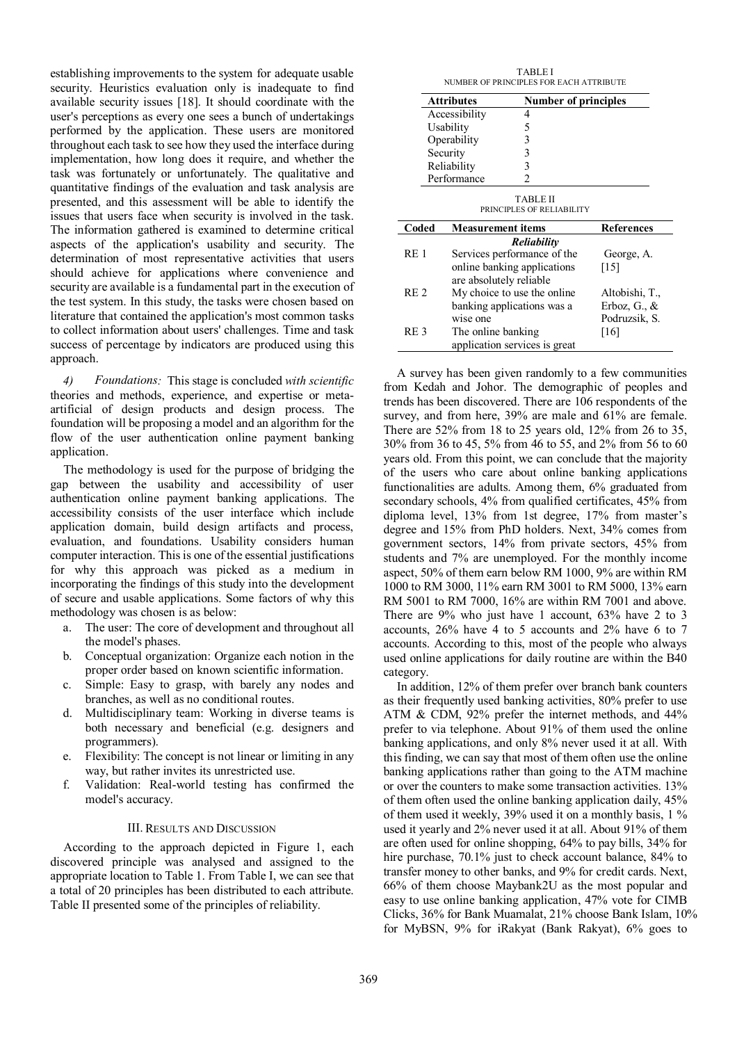establishing improvements to the system for adequate usable security. Heuristics evaluation only is inadequate to find available security issues [18]. It should coordinate with the user's perceptions as every one sees a bunch of undertakings performed by the application. These users are monitored throughout each task to see how they used the interface during implementation, how long does it require, and whether the task was fortunately or unfortunately. The qualitative and quantitative findings of the evaluation and task analysis are presented, and this assessment will be able to identify the issues that users face when security is involved in the task. The information gathered is examined to determine critical aspects of the application's usability and security. The determination of most representative activities that users should achieve for applications where convenience and security are available is a fundamental part in the execution of the test system. In this study, the tasks were chosen based on literature that contained the application's most common tasks to collect information about users' challenges. Time and task success of percentage by indicators are produced using this approach.

*4) Foundations:* This stage is concluded *with scientific* theories and methods, experience, and expertise or metaartificial of design products and design process. The foundation will be proposing a model and an algorithm for the flow of the user authentication online payment banking application.

The methodology is used for the purpose of bridging the gap between the usability and accessibility of user authentication online payment banking applications. The accessibility consists of the user interface which include application domain, build design artifacts and process, evaluation, and foundations. Usability considers human computer interaction. This is one of the essential justifications for why this approach was picked as a medium in incorporating the findings of this study into the development of secure and usable applications. Some factors of why this methodology was chosen is as below:

- a. The user: The core of development and throughout all the model's phases.
- b. Conceptual organization: Organize each notion in the proper order based on known scientific information.
- c. Simple: Easy to grasp, with barely any nodes and branches, as well as no conditional routes.
- d. Multidisciplinary team: Working in diverse teams is both necessary and beneficial (e.g. designers and programmers).
- e. Flexibility: The concept is not linear or limiting in any way, but rather invites its unrestricted use.
- f. Validation: Real-world testing has confirmed the model's accuracy.

# III. RESULTS AND DISCUSSION

According to the approach depicted in Figure 1, each discovered principle was analysed and assigned to the appropriate location to Table 1. From Table I, we can see that a total of 20 principles has been distributed to each attribute. Table II presented some of the principles of reliability.

| <b>TABLEI</b><br>NUMBER OF PRINCIPLES FOR EACH ATTRIBUTE |                                                        |                   |
|----------------------------------------------------------|--------------------------------------------------------|-------------------|
|                                                          | <b>Attributes</b><br>Number of principles              |                   |
|                                                          | Accessibility<br>4                                     |                   |
|                                                          | 5<br>Usability                                         |                   |
|                                                          | 3<br>Operability                                       |                   |
|                                                          | 3<br>Security                                          |                   |
|                                                          | 3<br>Reliability                                       |                   |
|                                                          | Performance<br>$\overline{2}$                          |                   |
| <b>TABLE II</b><br>PRINCIPLES OF RELIABILITY             |                                                        |                   |
| Coded                                                    | <b>Measurement items</b>                               | <b>References</b> |
| <b>Reliability</b>                                       |                                                        |                   |
| RE <sub>1</sub>                                          | Services performance of the                            | George, A.        |
|                                                          | online banking applications<br>are absolutely reliable | [15]              |
| RE <sub>2</sub>                                          | My choice to use the online                            | Altobishi, T.,    |
|                                                          | banking applications was a                             | Erboz, G., $\&$   |
|                                                          | wise one                                               | Podruzsik, S.     |
| RE <sub>3</sub>                                          | The online banking                                     | [16]              |
|                                                          | application services is great                          |                   |

A survey has been given randomly to a few communities from Kedah and Johor. The demographic of peoples and trends has been discovered. There are 106 respondents of the survey, and from here, 39% are male and 61% are female. There are 52% from 18 to 25 years old, 12% from 26 to 35, 30% from 36 to 45, 5% from 46 to 55, and 2% from 56 to 60 years old. From this point, we can conclude that the majority of the users who care about online banking applications functionalities are adults. Among them, 6% graduated from secondary schools, 4% from qualified certificates, 45% from diploma level, 13% from 1st degree, 17% from master's degree and 15% from PhD holders. Next, 34% comes from government sectors, 14% from private sectors, 45% from students and 7% are unemployed. For the monthly income aspect, 50% of them earn below RM 1000, 9% are within RM 1000 to RM 3000, 11% earn RM 3001 to RM 5000, 13% earn RM 5001 to RM 7000, 16% are within RM 7001 and above. There are 9% who just have 1 account, 63% have 2 to 3 accounts, 26% have 4 to 5 accounts and 2% have 6 to 7 accounts. According to this, most of the people who always used online applications for daily routine are within the B40 category.

In addition, 12% of them prefer over branch bank counters as their frequently used banking activities, 80% prefer to use ATM & CDM, 92% prefer the internet methods, and 44% prefer to via telephone. About 91% of them used the online banking applications, and only 8% never used it at all. With this finding, we can say that most of them often use the online banking applications rather than going to the ATM machine or over the counters to make some transaction activities. 13% of them often used the online banking application daily, 45% of them used it weekly, 39% used it on a monthly basis, 1 % used it yearly and 2% never used it at all. About 91% of them are often used for online shopping, 64% to pay bills, 34% for hire purchase, 70.1% just to check account balance, 84% to transfer money to other banks, and 9% for credit cards. Next, 66% of them choose Maybank2U as the most popular and easy to use online banking application, 47% vote for CIMB Clicks, 36% for Bank Muamalat, 21% choose Bank Islam, 10% for MyBSN, 9% for iRakyat (Bank Rakyat), 6% goes to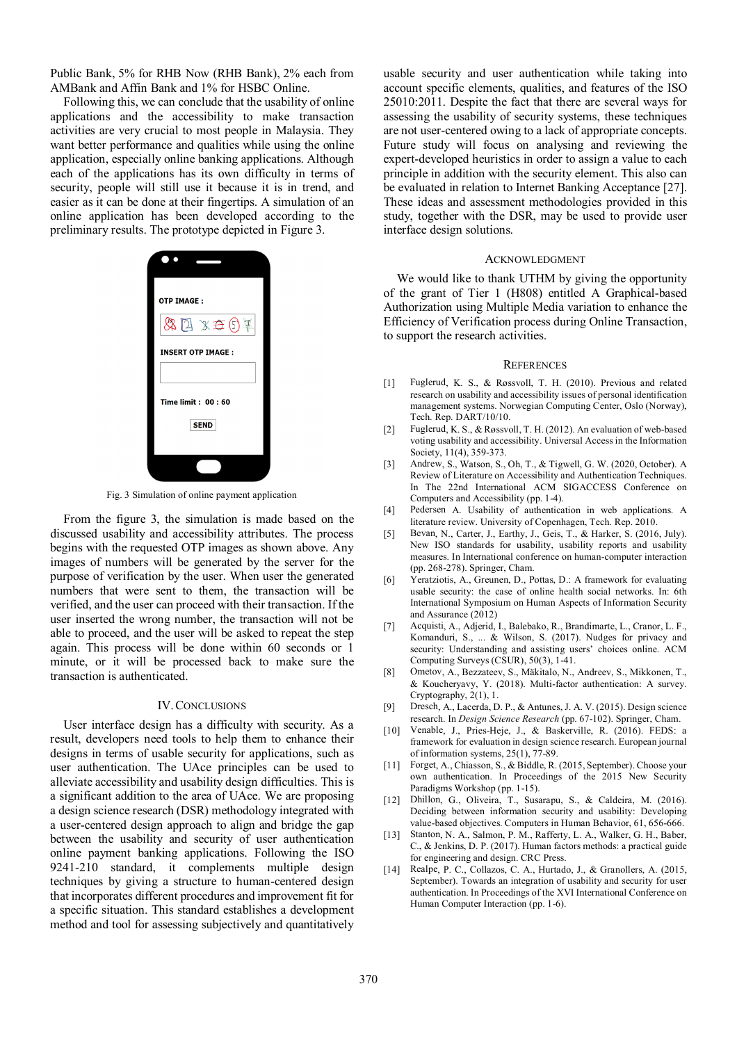Public Bank, 5% for RHB Now (RHB Bank), 2% each from AMBank and Affin Bank and 1% for HSBC Online.

Following this, we can conclude that the usability of online applications and the accessibility to make transaction activities are very crucial to most people in Malaysia. They want better performance and qualities while using the online application, especially online banking applications. Although each of the applications has its own difficulty in terms of security, people will still use it because it is in trend, and easier as it can be done at their fingertips. A simulation of an online application has been developed according to the preliminary results. The prototype depicted in Figure 3.



Fig. 3 Simulation of online payment application

From the figure 3, the simulation is made based on the discussed usability and accessibility attributes. The process begins with the requested OTP images as shown above. Any images of numbers will be generated by the server for the purpose of verification by the user. When user the generated numbers that were sent to them, the transaction will be verified, and the user can proceed with their transaction. If the user inserted the wrong number, the transaction will not be able to proceed, and the user will be asked to repeat the step again. This process will be done within 60 seconds or 1 minute, or it will be processed back to make sure the transaction is authenticated.

#### IV.CONCLUSIONS

User interface design has a difficulty with security. As a result, developers need tools to help them to enhance their designs in terms of usable security for applications, such as user authentication. The UAce principles can be used to alleviate accessibility and usability design difficulties. This is a significant addition to the area of UAce. We are proposing a design science research (DSR) methodology integrated with a user-centered design approach to align and bridge the gap between the usability and security of user authentication online payment banking applications. Following the ISO 9241-210 standard, it complements multiple design techniques by giving a structure to human-centered design that incorporates different procedures and improvement fit for a specific situation. This standard establishes a development method and tool for assessing subjectively and quantitatively usable security and user authentication while taking into account specific elements, qualities, and features of the ISO 25010:2011. Despite the fact that there are several ways for assessing the usability of security systems, these techniques are not user-centered owing to a lack of appropriate concepts. Future study will focus on analysing and reviewing the expert-developed heuristics in order to assign a value to each principle in addition with the security element. This also can be evaluated in relation to Internet Banking Acceptance [27]. These ideas and assessment methodologies provided in this study, together with the DSR, may be used to provide user interface design solutions.

#### ACKNOWLEDGMENT

We would like to thank UTHM by giving the opportunity of the grant of Tier 1 (H808) entitled A Graphical-based Authorization using Multiple Media variation to enhance the Efficiency of Verification process during Online Transaction, to support the research activities.

#### **REFERENCES**

- [1] Fuglerud, K. S., & Røssvoll, T. H. (2010). Previous and related research on usability and accessibility issues of personal identification management systems. Norwegian Computing Center, Oslo (Norway), Tech. Rep. DART/10/10.
- [2] Fuglerud, K. S., & Røssvoll, T. H. (2012). An evaluation of web-based voting usability and accessibility. Universal Access in the Information Society, 11(4), 359-373.
- [3] Andrew, S., Watson, S., Oh, T., & Tigwell, G. W. (2020, October). A Review of Literature on Accessibility and Authentication Techniques. In The 22nd International ACM SIGACCESS Conference on Computers and Accessibility (pp. 1-4).
- [4] Pedersen A. Usability of authentication in web applications. A literature review. University of Copenhagen, Tech. Rep. 2010.
- [5] Bevan, N., Carter, J., Earthy, J., Geis, T., & Harker, S. (2016, July). New ISO standards for usability, usability reports and usability measures. In International conference on human-computer interaction (pp. 268-278). Springer, Cham.
- [6] Yeratziotis, A., Greunen, D., Pottas, D.: A framework for evaluating usable security: the case of online health social networks. In: 6th International Symposium on Human Aspects of Information Security and Assurance (2012)
- [7] Acquisti, A., Adjerid, I., Balebako, R., Brandimarte, L., Cranor, L. F., Komanduri, S., ... & Wilson, S. (2017). Nudges for privacy and security: Understanding and assisting users' choices online. ACM Computing Surveys (CSUR), 50(3), 1-41.
- [8] Ometov, A., Bezzateev, S., Mäkitalo, N., Andreev, S., Mikkonen, T., & Koucheryavy, Y. (2018). Multi-factor authentication: A survey. Cryptography, 2(1), 1.
- [9] Dresch, A., Lacerda, D. P., & Antunes, J. A. V. (2015). Design science research. In *Design Science Research* (pp. 67-102). Springer, Cham.
- [10] Venable, J., Pries-Heje, J., & Baskerville, R. (2016). FEDS: a framework for evaluation in design science research. European journal of information systems, 25(1), 77-89.
- [11] Forget, A., Chiasson, S., & Biddle, R. (2015, September). Choose your own authentication. In Proceedings of the 2015 New Security Paradigms Workshop (pp. 1-15).
- [12] Dhillon, G., Oliveira, T., Susarapu, S., & Caldeira, M. (2016). Deciding between information security and usability: Developing value-based objectives. Computers in Human Behavior, 61, 656-666.
- [13] Stanton, N. A., Salmon, P. M., Rafferty, L. A., Walker, G. H., Baber, C., & Jenkins, D. P. (2017). Human factors methods: a practical guide for engineering and design. CRC Press.
- [14] Realpe, P. C., Collazos, C. A., Hurtado, J., & Granollers, A. (2015, September). Towards an integration of usability and security for user authentication. In Proceedings of the XVI International Conference on Human Computer Interaction (pp. 1-6).